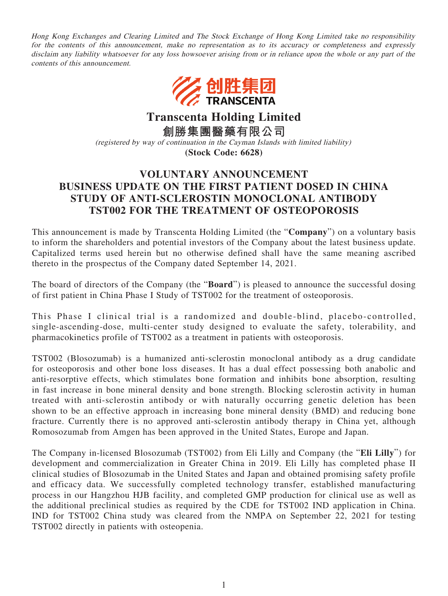Hong Kong Exchanges and Clearing Limited and The Stock Exchange of Hong Kong Limited take no responsibility for the contents of this announcement, make no representation as to its accuracy or completeness and expressly disclaim any liability whatsoever for any loss howsoever arising from or in reliance upon the whole or any part of the contents of this announcement.



**Transcenta Holding Limited**

**創勝集團醫藥有限公司**

(registered by way of continuation in the Cayman Islands with limited liability)

**(Stock Code: 6628)**

## **VOLUNTARY ANNOUNCEMENT BUSINESS UPDATE ON THE FIRST PATIENT DOSED IN CHINA STUDY OF ANTI-SCLEROSTIN MONOCLONAL ANTIBODY TST002 FOR THE TREATMENT OF OSTEOPOROSIS**

This announcement is made by Transcenta Holding Limited (the "**Company**") on a voluntary basis to inform the shareholders and potential investors of the Company about the latest business update. Capitalized terms used herein but no otherwise defined shall have the same meaning ascribed thereto in the prospectus of the Company dated September 14, 2021.

The board of directors of the Company (the "**Board**") is pleased to announce the successful dosing of first patient in China Phase I Study of TST002 for the treatment of osteoporosis.

This Phase I clinical trial is a randomized and double-blind, placebo-controlled, single-ascending-dose, multi-center study designed to evaluate the safety, tolerability, and pharmacokinetics profile of TST002 as a treatment in patients with osteoporosis.

TST002 (Blosozumab) is a humanized anti-sclerostin monoclonal antibody as a drug candidate for osteoporosis and other bone loss diseases. It has a dual effect possessing both anabolic and anti-resorptive effects, which stimulates bone formation and inhibits bone absorption, resulting in fast increase in bone mineral density and bone strength. Blocking sclerostin activity in human treated with anti-sclerostin antibody or with naturally occurring genetic deletion has been shown to be an effective approach in increasing bone mineral density (BMD) and reducing bone fracture. Currently there is no approved anti-sclerostin antibody therapy in China yet, although Romosozumab from Amgen has been approved in the United States, Europe and Japan.

The Company in-licensed Blosozumab (TST002) from Eli Lilly and Company (the "**Eli Lilly**") for development and commercialization in Greater China in 2019. Eli Lilly has completed phase II clinical studies of Blosozumab in the United States and Japan and obtained promising safety profile and efficacy data. We successfully completed technology transfer, established manufacturing process in our Hangzhou HJB facility, and completed GMP production for clinical use as well as the additional preclinical studies as required by the CDE for TST002 IND application in China. IND for TST002 China study was cleared from the NMPA on September 22, 2021 for testing TST002 directly in patients with osteopenia.